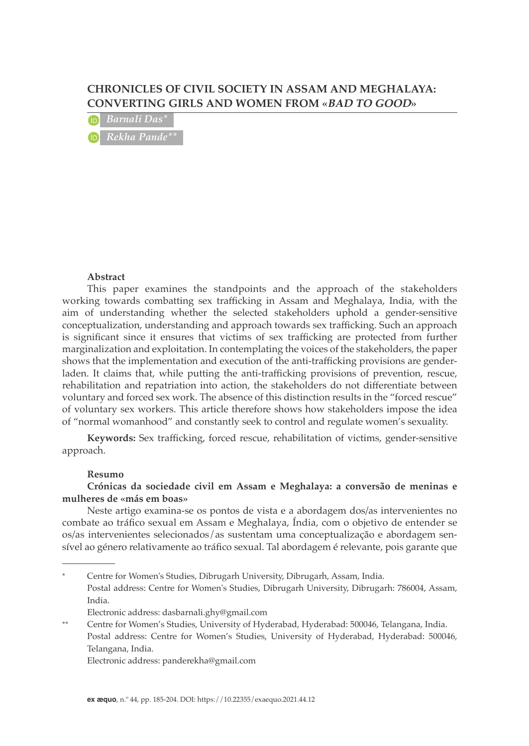# **CHRONICLES OF CIVIL SOCIETY IN ASSAM AND MEGHALAYA: CONVERTING GIRLS AND WOMEN FROM «BAD TO GOOD»**

*Barnali Das\* Rekha Pande\*\**

#### **Abstract**

This paper examines the standpoints and the approach of the stakeholders working towards combatting sex trafficking in Assam and Meghalaya, India, with the aim of understanding whether the selected stakeholders uphold a gender-sensitive conceptualization, understanding and approach towards sex trafficking. Such an approach is significant since it ensures that victims of sex trafficking are protected from further marginalization and exploitation. In contemplating the voices of the stakeholders, the paper shows that the implementation and execution of the anti-trafficking provisions are genderladen. It claims that, while putting the anti-trafficking provisions of prevention, rescue, rehabilitation and repatriation into action, the stakeholders do not differentiate between voluntary and forced sex work. The absence of this distinction results in the "forced rescue" of voluntary sex workers. This article therefore shows how stakeholders impose the idea of "normal womanhood" and constantly seek to control and regulate women's sexuality.

**Keywords:** Sex trafficking, forced rescue, rehabilitation of victims, gender-sensitive approach.

#### **Resumo**

#### **Crónicas da sociedade civil em Assam e Meghalaya: a conversão de meninas e mulheres de «más em boas»**

Neste artigo examina-se os pontos de vista e a abordagem dos/as intervenientes no combate ao tráfico sexual em Assam e Meghalaya, Índia, com o objetivo de entender se os/as intervenientes selecionados/as sustentam uma conceptualização e abordagem sensível ao género relativamente ao tráfico sexual. Tal abordagem é relevante, pois garante que

Electronic address: [panderekha@gmail.com](mailto:panderekha@gmail.com)

<sup>\*</sup> Centre for Women's Studies, Dibrugarh University, Dibrugarh, Assam, India. Postal address: Centre for Women's Studies, Dibrugarh University, Dibrugarh: 786004, Assam, India. Electronic address: [dasbarnali.ghy@gmail.com](mailto:dasbarnali.ghy%40gmail.com?subject=)

<sup>\*\*</sup> Centre for Women's Studies, University of Hyderabad, Hyderabad: 500046, Telangana, India. Postal address: Centre for Women's Studies, University of Hyderabad, Hyderabad: 500046, Telangana, India.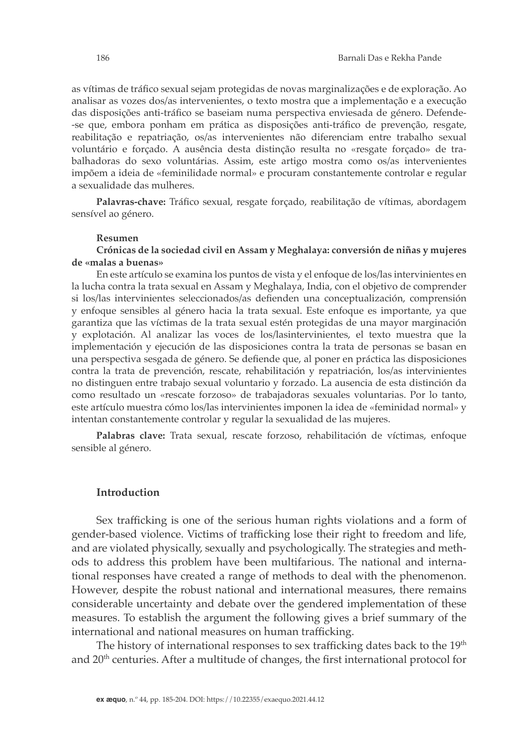as vítimas de tráfico sexual sejam protegidas de novas marginalizações e de exploração. Ao analisar as vozes dos/as intervenientes, o texto mostra que a implementação e a execução das disposições anti-tráfico se baseiam numa perspectiva enviesada de género. Defende- -se que, embora ponham em prática as disposições anti-tráfico de prevenção, resgate, reabilitação e repatriação, os/as intervenientes não diferenciam entre trabalho sexual voluntário e forçado. A ausência desta distinção resulta no «resgate forçado» de trabalhadoras do sexo voluntárias. Assim, este artigo mostra como os/as intervenientes impõem a ideia de «feminilidade normal» e procuram constantemente controlar e regular

**Palavras-chave:** Tráfico sexual, resgate forçado, reabilitação de vítimas, abordagem sensível ao género.

#### **Resumen**

a sexualidade das mulheres.

**Crónicas de la sociedad civil en Assam y Meghalaya: conversión de niñas y mujeres de «malas a buenas»**

En este artículo se examina los puntos de vista y el enfoque de los/las intervinientes en la lucha contra la trata sexual en Assam y Meghalaya, India, con el objetivo de comprender si los/las intervinientes seleccionados/as defienden una conceptualización, comprensión y enfoque sensibles al género hacia la trata sexual. Este enfoque es importante, ya que garantiza que las víctimas de la trata sexual estén protegidas de una mayor marginación y explotación. Al analizar las voces de los/lasintervinientes, el texto muestra que la implementación y ejecución de las disposiciones contra la trata de personas se basan en una perspectiva sesgada de género. Se defiende que, al poner en práctica las disposiciones contra la trata de prevención, rescate, rehabilitación y repatriación, los/as intervinientes no distinguen entre trabajo sexual voluntario y forzado. La ausencia de esta distinción da como resultado un «rescate forzoso» de trabajadoras sexuales voluntarias. Por lo tanto, este artículo muestra cómo los/las intervinientes imponen la idea de «feminidad normal» y intentan constantemente controlar y regular la sexualidad de las mujeres.

**Palabras clave:** Trata sexual, rescate forzoso, rehabilitación de víctimas, enfoque sensible al género.

#### **Introduction**

Sex trafficking is one of the serious human rights violations and a form of gender-based violence. Victims of trafficking lose their right to freedom and life, and are violated physically, sexually and psychologically. The strategies and methods to address this problem have been multifarious. The national and international responses have created a range of methods to deal with the phenomenon. However, despite the robust national and international measures, there remains considerable uncertainty and debate over the gendered implementation of these measures. To establish the argument the following gives a brief summary of the international and national measures on human trafficking.

The history of international responses to sex trafficking dates back to the  $19<sup>th</sup>$ and 20<sup>th</sup> centuries. After a multitude of changes, the first international protocol for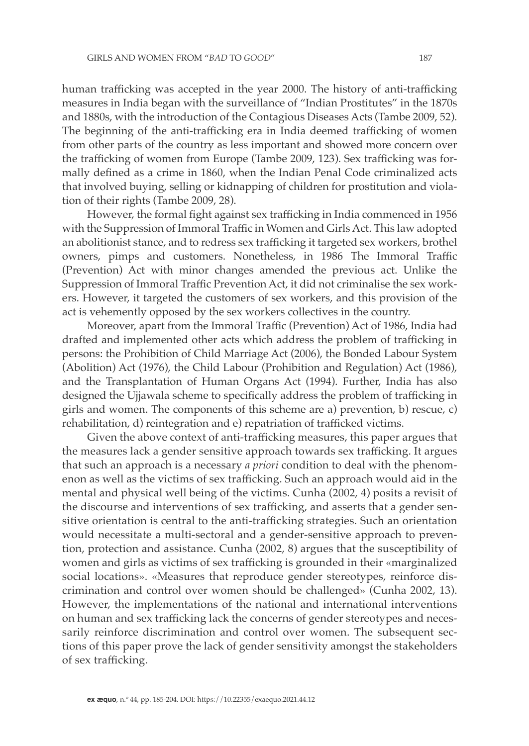human trafficking was accepted in the year 2000. The history of anti-trafficking measures in India began with the surveillance of "Indian Prostitutes" in the 1870s and 1880s, with the introduction of the Contagious Diseases Acts (Tambe 2009, 52). The beginning of the anti-trafficking era in India deemed trafficking of women from other parts of the country as less important and showed more concern over the trafficking of women from Europe (Tambe 2009, 123). Sex trafficking was formally defined as a crime in 1860, when the Indian Penal Code criminalized acts that involved buying, selling or kidnapping of children for prostitution and violation of their rights (Tambe 2009, 28).

However, the formal fight against sex trafficking in India commenced in 1956 with the Suppression of Immoral Traffic in Women and Girls Act. This law adopted an abolitionist stance, and to redress sex trafficking it targeted sex workers, brothel owners, pimps and customers. Nonetheless, in 1986 The Immoral Traffic (Prevention) Act with minor changes amended the previous act. Unlike the Suppression of Immoral Traffic Prevention Act, it did not criminalise the sex workers. However, it targeted the customers of sex workers, and this provision of the act is vehemently opposed by the sex workers collectives in the country.

Moreover, apart from the Immoral Traffic (Prevention) Act of 1986, India had drafted and implemented other acts which address the problem of trafficking in persons: the Prohibition of Child Marriage Act (2006), the Bonded Labour System (Abolition) Act (1976), the Child Labour (Prohibition and Regulation) Act (1986), and the Transplantation of Human Organs Act (1994). Further, India has also designed the Ujjawala scheme to specifically address the problem of trafficking in girls and women. The components of this scheme are a) prevention, b) rescue, c) rehabilitation, d) reintegration and e) repatriation of trafficked victims.

Given the above context of anti-trafficking measures, this paper argues that the measures lack a gender sensitive approach towards sex trafficking. It argues that such an approach is a necessary *a priori* condition to deal with the phenomenon as well as the victims of sex trafficking. Such an approach would aid in the mental and physical well being of the victims. Cunha (2002, 4) posits a revisit of the discourse and interventions of sex trafficking, and asserts that a gender sensitive orientation is central to the anti-trafficking strategies. Such an orientation would necessitate a multi-sectoral and a gender-sensitive approach to prevention, protection and assistance. Cunha (2002, 8) argues that the susceptibility of women and girls as victims of sex trafficking is grounded in their «marginalized social locations». «Measures that reproduce gender stereotypes, reinforce discrimination and control over women should be challenged» (Cunha 2002, 13). However, the implementations of the national and international interventions on human and sex trafficking lack the concerns of gender stereotypes and necessarily reinforce discrimination and control over women. The subsequent sections of this paper prove the lack of gender sensitivity amongst the stakeholders of sex trafficking.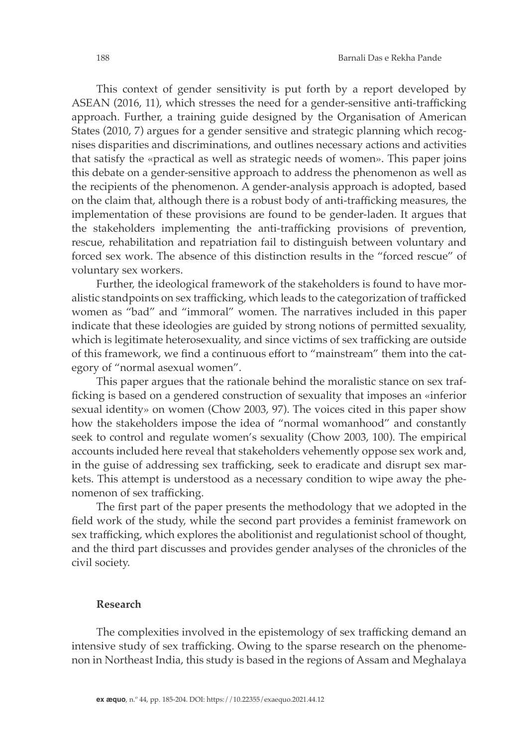This context of gender sensitivity is put forth by a report developed by ASEAN (2016, 11), which stresses the need for a gender-sensitive anti-trafficking approach. Further, a training guide designed by the Organisation of American States (2010, 7) argues for a gender sensitive and strategic planning which recognises disparities and discriminations, and outlines necessary actions and activities that satisfy the «practical as well as strategic needs of women». This paper joins this debate on a gender-sensitive approach to address the phenomenon as well as the recipients of the phenomenon. A gender-analysis approach is adopted, based on the claim that, although there is a robust body of anti-trafficking measures, the implementation of these provisions are found to be gender-laden. It argues that the stakeholders implementing the anti-trafficking provisions of prevention, rescue, rehabilitation and repatriation fail to distinguish between voluntary and forced sex work. The absence of this distinction results in the "forced rescue" of voluntary sex workers.

Further, the ideological framework of the stakeholders is found to have moralistic standpoints on sex trafficking, which leads to the categorization of trafficked women as "bad" and "immoral" women. The narratives included in this paper indicate that these ideologies are guided by strong notions of permitted sexuality, which is legitimate heterosexuality, and since victims of sex trafficking are outside of this framework, we find a continuous effort to "mainstream" them into the category of "normal asexual women".

This paper argues that the rationale behind the moralistic stance on sex trafficking is based on a gendered construction of sexuality that imposes an «inferior sexual identity» on women (Chow 2003, 97). The voices cited in this paper show how the stakeholders impose the idea of "normal womanhood" and constantly seek to control and regulate women's sexuality (Chow 2003, 100). The empirical accounts included here reveal that stakeholders vehemently oppose sex work and, in the guise of addressing sex trafficking, seek to eradicate and disrupt sex markets. This attempt is understood as a necessary condition to wipe away the phenomenon of sex trafficking.

The first part of the paper presents the methodology that we adopted in the field work of the study, while the second part provides a feminist framework on sex trafficking, which explores the abolitionist and regulationist school of thought, and the third part discusses and provides gender analyses of the chronicles of the civil society.

## **Research**

The complexities involved in the epistemology of sex trafficking demand an intensive study of sex trafficking. Owing to the sparse research on the phenomenon in Northeast India, this study is based in the regions of Assam and Meghalaya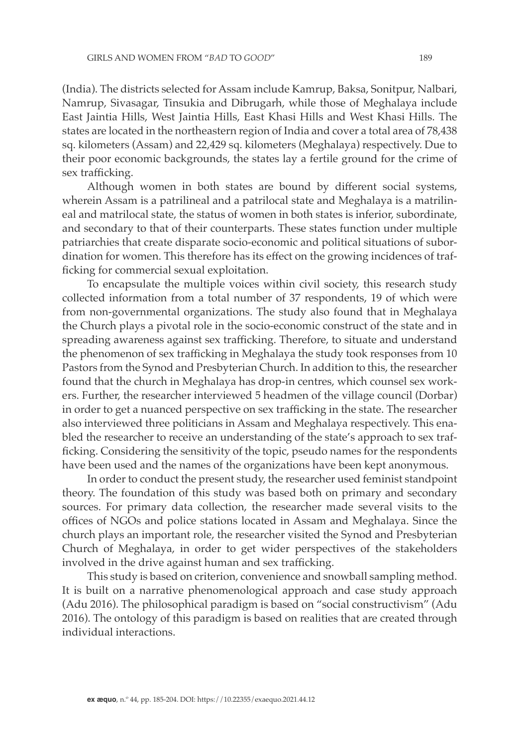(India). The districts selected for Assam include Kamrup, Baksa, Sonitpur, Nalbari, Namrup, Sivasagar, Tinsukia and Dibrugarh, while those of Meghalaya include East Jaintia Hills, West Jaintia Hills, East Khasi Hills and West Khasi Hills. The states are located in the northeastern region of India and cover a total area of 78,438 sq. kilometers (Assam) and 22,429 sq. kilometers (Meghalaya) respectively. Due to their poor economic backgrounds, the states lay a fertile ground for the crime of sex trafficking.

Although women in both states are bound by different social systems, wherein Assam is a patrilineal and a patrilocal state and Meghalaya is a matrilineal and matrilocal state, the status of women in both states is inferior, subordinate, and secondary to that of their counterparts. These states function under multiple patriarchies that create disparate socio-economic and political situations of subordination for women. This therefore has its effect on the growing incidences of trafficking for commercial sexual exploitation.

To encapsulate the multiple voices within civil society, this research study collected information from a total number of 37 respondents, 19 of which were from non-governmental organizations. The study also found that in Meghalaya the Church plays a pivotal role in the socio-economic construct of the state and in spreading awareness against sex trafficking. Therefore, to situate and understand the phenomenon of sex trafficking in Meghalaya the study took responses from 10 Pastors from the Synod and Presbyterian Church. In addition to this, the researcher found that the church in Meghalaya has drop-in centres, which counsel sex workers. Further, the researcher interviewed 5 headmen of the village council (Dorbar) in order to get a nuanced perspective on sex trafficking in the state. The researcher also interviewed three politicians in Assam and Meghalaya respectively. This enabled the researcher to receive an understanding of the state's approach to sex trafficking. Considering the sensitivity of the topic, pseudo names for the respondents have been used and the names of the organizations have been kept anonymous.

In order to conduct the present study, the researcher used feminist standpoint theory. The foundation of this study was based both on primary and secondary sources. For primary data collection, the researcher made several visits to the offices of NGOs and police stations located in Assam and Meghalaya. Since the church plays an important role, the researcher visited the Synod and Presbyterian Church of Meghalaya, in order to get wider perspectives of the stakeholders involved in the drive against human and sex trafficking.

This study is based on criterion, convenience and snowball sampling method. It is built on a narrative phenomenological approach and case study approach (Adu 2016). The philosophical paradigm is based on "social constructivism" (Adu 2016). The ontology of this paradigm is based on realities that are created through individual interactions.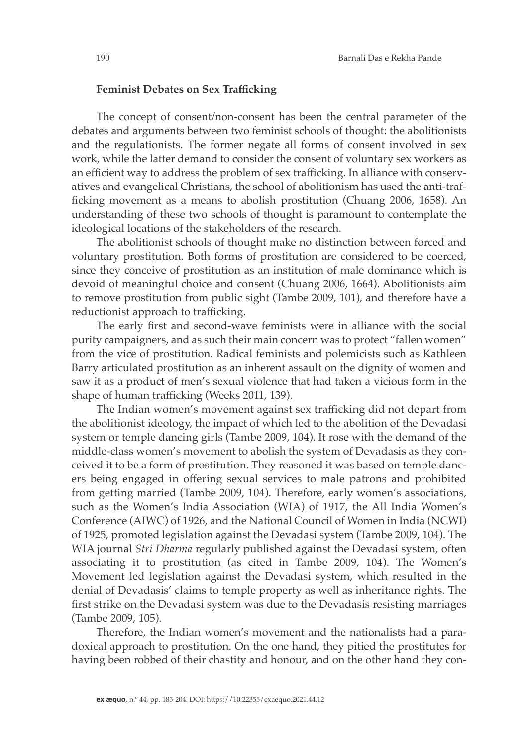#### **Feminist Debates on Sex Trafficking**

The concept of consent/non-consent has been the central parameter of the debates and arguments between two feminist schools of thought: the abolitionists and the regulationists. The former negate all forms of consent involved in sex work, while the latter demand to consider the consent of voluntary sex workers as an efficient way to address the problem of sex trafficking. In alliance with conservatives and evangelical Christians, the school of abolitionism has used the anti-trafficking movement as a means to abolish prostitution (Chuang 2006, 1658). An understanding of these two schools of thought is paramount to contemplate the ideological locations of the stakeholders of the research.

The abolitionist schools of thought make no distinction between forced and voluntary prostitution. Both forms of prostitution are considered to be coerced, since they conceive of prostitution as an institution of male dominance which is devoid of meaningful choice and consent (Chuang 2006, 1664). Abolitionists aim to remove prostitution from public sight (Tambe 2009, 101), and therefore have a reductionist approach to trafficking.

The early first and second-wave feminists were in alliance with the social purity campaigners, and as such their main concern was to protect "fallen women" from the vice of prostitution. Radical feminists and polemicists such as Kathleen Barry articulated prostitution as an inherent assault on the dignity of women and saw it as a product of men's sexual violence that had taken a vicious form in the shape of human trafficking (Weeks 2011, 139).

The Indian women's movement against sex trafficking did not depart from the abolitionist ideology, the impact of which led to the abolition of the Devadasi system or temple dancing girls (Tambe 2009, 104). It rose with the demand of the middle-class women's movement to abolish the system of Devadasis as they conceived it to be a form of prostitution. They reasoned it was based on temple dancers being engaged in offering sexual services to male patrons and prohibited from getting married (Tambe 2009, 104). Therefore, early women's associations, such as the Women's India Association (WIA) of 1917, the All India Women's Conference (AIWC) of 1926, and the National Council of Women in India (NCWI) of 1925, promoted legislation against the Devadasi system (Tambe 2009, 104). The WIA journal *Stri Dharma* regularly published against the Devadasi system, often associating it to prostitution (as cited in Tambe 2009, 104). The Women's Movement led legislation against the Devadasi system, which resulted in the denial of Devadasis' claims to temple property as well as inheritance rights. The first strike on the Devadasi system was due to the Devadasis resisting marriages (Tambe 2009, 105).

Therefore, the Indian women's movement and the nationalists had a paradoxical approach to prostitution. On the one hand, they pitied the prostitutes for having been robbed of their chastity and honour, and on the other hand they con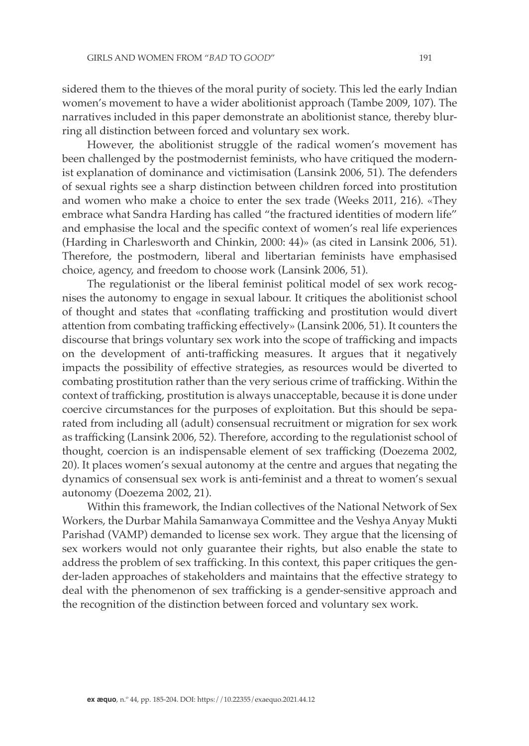sidered them to the thieves of the moral purity of society. This led the early Indian women's movement to have a wider abolitionist approach (Tambe 2009, 107). The narratives included in this paper demonstrate an abolitionist stance, thereby blurring all distinction between forced and voluntary sex work.

However, the abolitionist struggle of the radical women's movement has been challenged by the postmodernist feminists, who have critiqued the modernist explanation of dominance and victimisation (Lansink 2006, 51). The defenders of sexual rights see a sharp distinction between children forced into prostitution and women who make a choice to enter the sex trade (Weeks 2011, 216). «They embrace what Sandra Harding has called "the fractured identities of modern life" and emphasise the local and the specific context of women's real life experiences (Harding in Charlesworth and Chinkin, 2000: 44)» (as cited in Lansink 2006, 51). Therefore, the postmodern, liberal and libertarian feminists have emphasised choice, agency, and freedom to choose work (Lansink 2006, 51).

The regulationist or the liberal feminist political model of sex work recognises the autonomy to engage in sexual labour. It critiques the abolitionist school of thought and states that «conflating trafficking and prostitution would divert attention from combating trafficking effectively» (Lansink 2006, 51). It counters the discourse that brings voluntary sex work into the scope of trafficking and impacts on the development of anti-trafficking measures. It argues that it negatively impacts the possibility of effective strategies, as resources would be diverted to combating prostitution rather than the very serious crime of trafficking. Within the context of trafficking, prostitution is always unacceptable, because it is done under coercive circumstances for the purposes of exploitation. But this should be separated from including all (adult) consensual recruitment or migration for sex work as trafficking (Lansink 2006, 52). Therefore, according to the regulationist school of thought, coercion is an indispensable element of sex trafficking (Doezema 2002, 20). It places women's sexual autonomy at the centre and argues that negating the dynamics of consensual sex work is anti-feminist and a threat to women's sexual autonomy (Doezema 2002, 21).

Within this framework, the Indian collectives of the National Network of Sex Workers, the Durbar Mahila Samanwaya Committee and the Veshya Anyay Mukti Parishad (VAMP) demanded to license sex work. They argue that the licensing of sex workers would not only guarantee their rights, but also enable the state to address the problem of sex trafficking. In this context, this paper critiques the gender-laden approaches of stakeholders and maintains that the effective strategy to deal with the phenomenon of sex trafficking is a gender-sensitive approach and the recognition of the distinction between forced and voluntary sex work.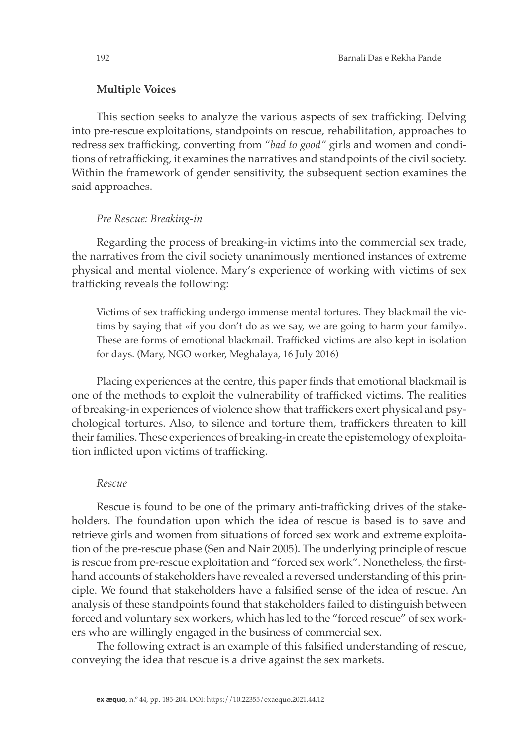### **Multiple Voices**

This section seeks to analyze the various aspects of sex trafficking. Delving into pre-rescue exploitations, standpoints on rescue, rehabilitation, approaches to redress sex trafficking, converting from "*bad to good"* girls and women and conditions of retrafficking, it examines the narratives and standpoints of the civil society. Within the framework of gender sensitivity, the subsequent section examines the said approaches.

### *Pre Rescue: Breaking-in*

Regarding the process of breaking-in victims into the commercial sex trade, the narratives from the civil society unanimously mentioned instances of extreme physical and mental violence. Mary's experience of working with victims of sex trafficking reveals the following:

Victims of sex trafficking undergo immense mental tortures. They blackmail the victims by saying that «if you don't do as we say, we are going to harm your family». These are forms of emotional blackmail. Trafficked victims are also kept in isolation for days. (Mary, NGO worker, Meghalaya, 16 July 2016)

Placing experiences at the centre, this paper finds that emotional blackmail is one of the methods to exploit the vulnerability of trafficked victims. The realities of breaking-in experiences of violence show that traffickers exert physical and psychological tortures. Also, to silence and torture them, traffickers threaten to kill their families. These experiences of breaking-in create the epistemology of exploitation inflicted upon victims of trafficking.

### *Rescue*

Rescue is found to be one of the primary anti-trafficking drives of the stakeholders. The foundation upon which the idea of rescue is based is to save and retrieve girls and women from situations of forced sex work and extreme exploitation of the pre-rescue phase (Sen and Nair 2005). The underlying principle of rescue is rescue from pre-rescue exploitation and "forced sex work". Nonetheless, the firsthand accounts of stakeholders have revealed a reversed understanding of this principle. We found that stakeholders have a falsified sense of the idea of rescue. An analysis of these standpoints found that stakeholders failed to distinguish between forced and voluntary sex workers, which has led to the "forced rescue" of sex workers who are willingly engaged in the business of commercial sex.

The following extract is an example of this falsified understanding of rescue, conveying the idea that rescue is a drive against the sex markets.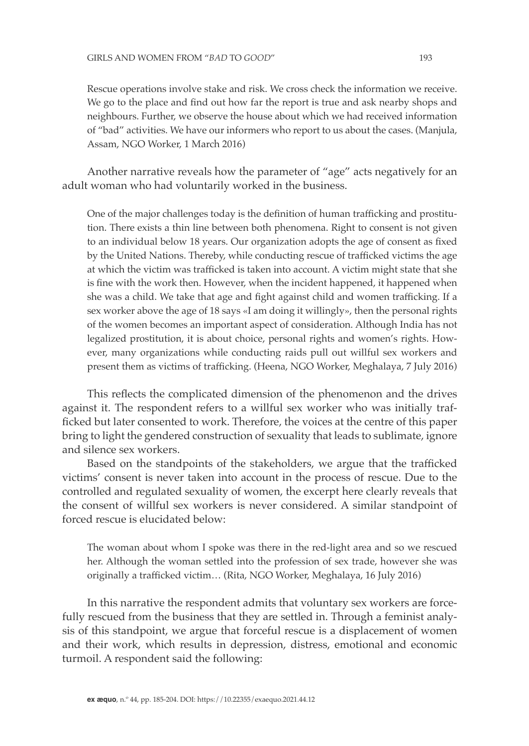Rescue operations involve stake and risk. We cross check the information we receive. We go to the place and find out how far the report is true and ask nearby shops and neighbours. Further, we observe the house about which we had received information

of "bad" activities. We have our informers who report to us about the cases. (Manjula, Assam, NGO Worker, 1 March 2016)

Another narrative reveals how the parameter of "age" acts negatively for an adult woman who had voluntarily worked in the business.

One of the major challenges today is the definition of human trafficking and prostitution. There exists a thin line between both phenomena. Right to consent is not given to an individual below 18 years. Our organization adopts the age of consent as fixed by the United Nations. Thereby, while conducting rescue of trafficked victims the age at which the victim was trafficked is taken into account. A victim might state that she is fine with the work then. However, when the incident happened, it happened when she was a child. We take that age and fight against child and women trafficking. If a sex worker above the age of 18 says «I am doing it willingly», then the personal rights of the women becomes an important aspect of consideration. Although India has not legalized prostitution, it is about choice, personal rights and women's rights. However, many organizations while conducting raids pull out willful sex workers and present them as victims of trafficking. (Heena, NGO Worker, Meghalaya, 7 July 2016)

This reflects the complicated dimension of the phenomenon and the drives against it. The respondent refers to a willful sex worker who was initially trafficked but later consented to work. Therefore, the voices at the centre of this paper bring to light the gendered construction of sexuality that leads to sublimate, ignore and silence sex workers.

Based on the standpoints of the stakeholders, we argue that the trafficked victims' consent is never taken into account in the process of rescue. Due to the controlled and regulated sexuality of women, the excerpt here clearly reveals that the consent of willful sex workers is never considered. A similar standpoint of forced rescue is elucidated below:

The woman about whom I spoke was there in the red-light area and so we rescued her. Although the woman settled into the profession of sex trade, however she was originally a trafficked victim… (Rita, NGO Worker, Meghalaya, 16 July 2016)

In this narrative the respondent admits that voluntary sex workers are forcefully rescued from the business that they are settled in. Through a feminist analysis of this standpoint, we argue that forceful rescue is a displacement of women and their work, which results in depression, distress, emotional and economic turmoil. A respondent said the following: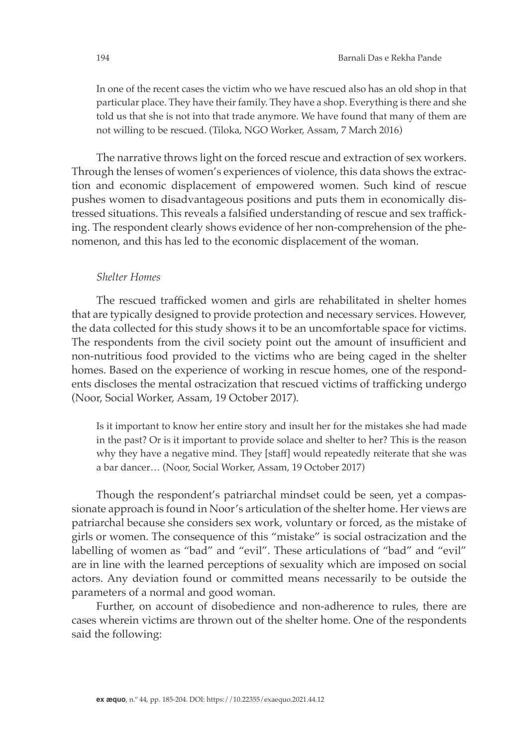In one of the recent cases the victim who we have rescued also has an old shop in that particular place. They have their family. They have a shop. Everything is there and she told us that she is not into that trade anymore. We have found that many of them are not willing to be rescued. (Tiloka, NGO Worker, Assam, 7 March 2016)

The narrative throws light on the forced rescue and extraction of sex workers. Through the lenses of women's experiences of violence, this data shows the extraction and economic displacement of empowered women. Such kind of rescue pushes women to disadvantageous positions and puts them in economically distressed situations. This reveals a falsified understanding of rescue and sex trafficking. The respondent clearly shows evidence of her non-comprehension of the phenomenon, and this has led to the economic displacement of the woman.

#### *Shelter Homes*

The rescued trafficked women and girls are rehabilitated in shelter homes that are typically designed to provide protection and necessary services. However, the data collected for this study shows it to be an uncomfortable space for victims. The respondents from the civil society point out the amount of insufficient and non-nutritious food provided to the victims who are being caged in the shelter homes. Based on the experience of working in rescue homes, one of the respondents discloses the mental ostracization that rescued victims of trafficking undergo (Noor, Social Worker, Assam, 19 October 2017).

Is it important to know her entire story and insult her for the mistakes she had made in the past? Or is it important to provide solace and shelter to her? This is the reason why they have a negative mind. They [staff] would repeatedly reiterate that she was a bar dancer… (Noor, Social Worker, Assam, 19 October 2017)

Though the respondent's patriarchal mindset could be seen, yet a compassionate approach is found in Noor's articulation of the shelter home. Her views are patriarchal because she considers sex work, voluntary or forced, as the mistake of girls or women. The consequence of this "mistake" is social ostracization and the labelling of women as "bad" and "evil". These articulations of "bad" and "evil" are in line with the learned perceptions of sexuality which are imposed on social actors. Any deviation found or committed means necessarily to be outside the parameters of a normal and good woman.

Further, on account of disobedience and non-adherence to rules, there are cases wherein victims are thrown out of the shelter home. One of the respondents said the following: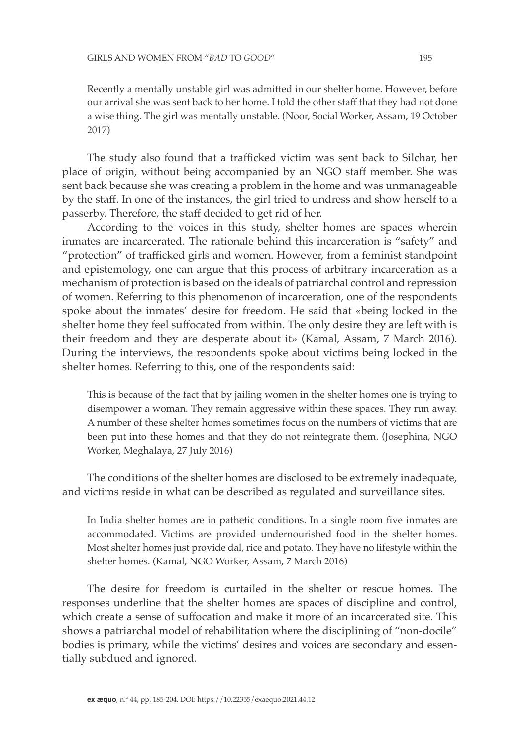Recently a mentally unstable girl was admitted in our shelter home. However, before our arrival she was sent back to her home. I told the other staff that they had not done a wise thing. The girl was mentally unstable. (Noor, Social Worker, Assam, 19 October 2017)

The study also found that a trafficked victim was sent back to Silchar, her place of origin, without being accompanied by an NGO staff member. She was sent back because she was creating a problem in the home and was unmanageable by the staff. In one of the instances, the girl tried to undress and show herself to a passerby. Therefore, the staff decided to get rid of her.

According to the voices in this study, shelter homes are spaces wherein inmates are incarcerated. The rationale behind this incarceration is "safety" and "protection" of trafficked girls and women. However, from a feminist standpoint and epistemology, one can argue that this process of arbitrary incarceration as a mechanism of protection is based on the ideals of patriarchal control and repression of women. Referring to this phenomenon of incarceration, one of the respondents spoke about the inmates' desire for freedom. He said that *«*being locked in the shelter home they feel suffocated from within. The only desire they are left with is their freedom and they are desperate about it» (Kamal, Assam, 7 March 2016). During the interviews, the respondents spoke about victims being locked in the shelter homes. Referring to this, one of the respondents said:

This is because of the fact that by jailing women in the shelter homes one is trying to disempower a woman. They remain aggressive within these spaces. They run away. A number of these shelter homes sometimes focus on the numbers of victims that are been put into these homes and that they do not reintegrate them. (Josephina, NGO Worker, Meghalaya, 27 July 2016)

The conditions of the shelter homes are disclosed to be extremely inadequate, and victims reside in what can be described as regulated and surveillance sites.

In India shelter homes are in pathetic conditions. In a single room five inmates are accommodated. Victims are provided undernourished food in the shelter homes. Most shelter homes just provide dal, rice and potato. They have no lifestyle within the shelter homes. (Kamal, NGO Worker, Assam, 7 March 2016)

The desire for freedom is curtailed in the shelter or rescue homes. The responses underline that the shelter homes are spaces of discipline and control, which create a sense of suffocation and make it more of an incarcerated site. This shows a patriarchal model of rehabilitation where the disciplining of "non-docile" bodies is primary, while the victims' desires and voices are secondary and essentially subdued and ignored.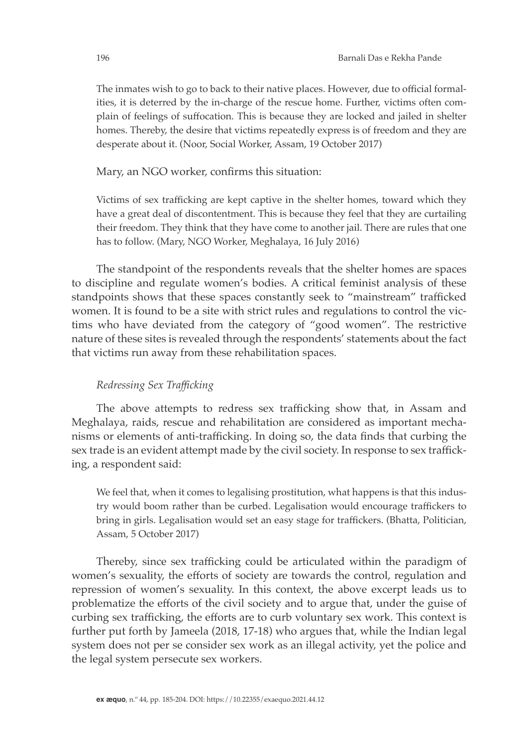The inmates wish to go to back to their native places. However, due to official formalities, it is deterred by the in-charge of the rescue home. Further, victims often complain of feelings of suffocation. This is because they are locked and jailed in shelter homes. Thereby, the desire that victims repeatedly express is of freedom and they are desperate about it. (Noor, Social Worker, Assam, 19 October 2017)

Mary, an NGO worker, confirms this situation:

Victims of sex trafficking are kept captive in the shelter homes, toward which they have a great deal of discontentment. This is because they feel that they are curtailing their freedom. They think that they have come to another jail. There are rules that one has to follow. (Mary, NGO Worker, Meghalaya, 16 July 2016)

The standpoint of the respondents reveals that the shelter homes are spaces to discipline and regulate women's bodies. A critical feminist analysis of these standpoints shows that these spaces constantly seek to "mainstream" trafficked women. It is found to be a site with strict rules and regulations to control the victims who have deviated from the category of "good women". The restrictive nature of these sites is revealed through the respondents' statements about the fact that victims run away from these rehabilitation spaces.

## *Redressing Sex Trafficking*

The above attempts to redress sex trafficking show that, in Assam and Meghalaya, raids, rescue and rehabilitation are considered as important mechanisms or elements of anti-trafficking. In doing so, the data finds that curbing the sex trade is an evident attempt made by the civil society. In response to sex trafficking, a respondent said:

We feel that, when it comes to legalising prostitution, what happens is that this industry would boom rather than be curbed. Legalisation would encourage traffickers to bring in girls. Legalisation would set an easy stage for traffickers. (Bhatta, Politician, Assam, 5 October 2017)

Thereby, since sex trafficking could be articulated within the paradigm of women's sexuality, the efforts of society are towards the control, regulation and repression of women's sexuality. In this context, the above excerpt leads us to problematize the efforts of the civil society and to argue that, under the guise of curbing sex trafficking, the efforts are to curb voluntary sex work. This context is further put forth by Jameela (2018, 17-18) who argues that, while the Indian legal system does not per se consider sex work as an illegal activity, yet the police and the legal system persecute sex workers.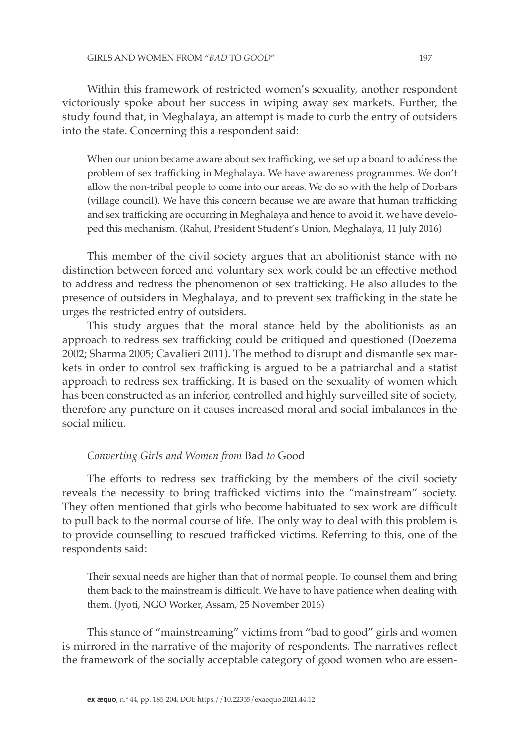Within this framework of restricted women's sexuality, another respondent victoriously spoke about her success in wiping away sex markets. Further, the study found that, in Meghalaya, an attempt is made to curb the entry of outsiders into the state. Concerning this a respondent said:

When our union became aware about sex trafficking, we set up a board to address the problem of sex trafficking in Meghalaya. We have awareness programmes. We don't allow the non-tribal people to come into our areas. We do so with the help of Dorbars (village council). We have this concern because we are aware that human trafficking and sex trafficking are occurring in Meghalaya and hence to avoid it, we have developed this mechanism. (Rahul, President Student's Union, Meghalaya, 11 July 2016)

This member of the civil society argues that an abolitionist stance with no distinction between forced and voluntary sex work could be an effective method to address and redress the phenomenon of sex trafficking. He also alludes to the presence of outsiders in Meghalaya, and to prevent sex trafficking in the state he urges the restricted entry of outsiders.

This study argues that the moral stance held by the abolitionists as an approach to redress sex trafficking could be critiqued and questioned (Doezema 2002; Sharma 2005; Cavalieri 2011). The method to disrupt and dismantle sex markets in order to control sex trafficking is argued to be a patriarchal and a statist approach to redress sex trafficking. It is based on the sexuality of women which has been constructed as an inferior, controlled and highly surveilled site of society, therefore any puncture on it causes increased moral and social imbalances in the social milieu.

### *Converting Girls and Women from* Bad *to* Good

The efforts to redress sex trafficking by the members of the civil society reveals the necessity to bring trafficked victims into the "mainstream" society. They often mentioned that girls who become habituated to sex work are difficult to pull back to the normal course of life. The only way to deal with this problem is to provide counselling to rescued trafficked victims. Referring to this, one of the respondents said:

Their sexual needs are higher than that of normal people. To counsel them and bring them back to the mainstream is difficult. We have to have patience when dealing with them. (Jyoti, NGO Worker, Assam, 25 November 2016)

This stance of "mainstreaming" victims from "bad to good" girls and women is mirrored in the narrative of the majority of respondents. The narratives reflect the framework of the socially acceptable category of good women who are essen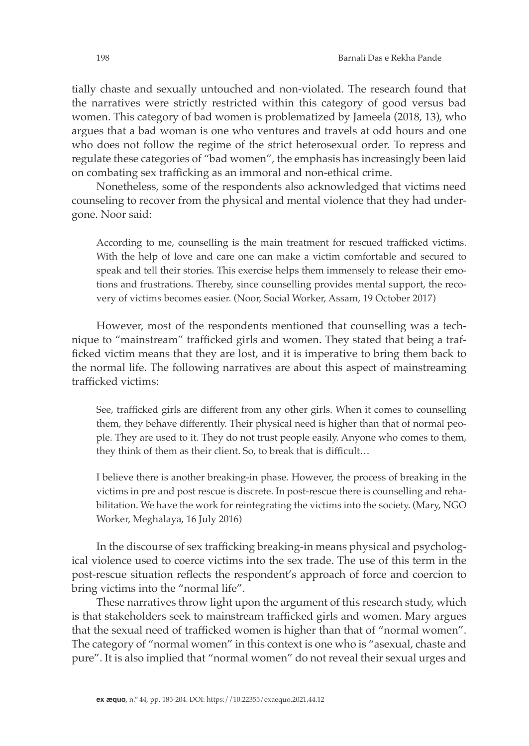tially chaste and sexually untouched and non-violated. The research found that the narratives were strictly restricted within this category of good versus bad women. This category of bad women is problematized by Jameela (2018, 13), who argues that a bad woman is one who ventures and travels at odd hours and one who does not follow the regime of the strict heterosexual order. To repress and regulate these categories of "bad women", the emphasis has increasingly been laid on combating sex trafficking as an immoral and non-ethical crime.

Nonetheless, some of the respondents also acknowledged that victims need counseling to recover from the physical and mental violence that they had undergone. Noor said:

According to me, counselling is the main treatment for rescued trafficked victims. With the help of love and care one can make a victim comfortable and secured to speak and tell their stories. This exercise helps them immensely to release their emotions and frustrations. Thereby, since counselling provides mental support, the recovery of victims becomes easier. (Noor, Social Worker, Assam, 19 October 2017)

However, most of the respondents mentioned that counselling was a technique to "mainstream" trafficked girls and women. They stated that being a trafficked victim means that they are lost, and it is imperative to bring them back to the normal life. The following narratives are about this aspect of mainstreaming trafficked victims:

See, trafficked girls are different from any other girls. When it comes to counselling them, they behave differently. Their physical need is higher than that of normal people. They are used to it. They do not trust people easily. Anyone who comes to them, they think of them as their client. So, to break that is difficult…

I believe there is another breaking-in phase. However, the process of breaking in the victims in pre and post rescue is discrete. In post-rescue there is counselling and rehabilitation. We have the work for reintegrating the victims into the society. (Mary, NGO Worker, Meghalaya, 16 July 2016)

In the discourse of sex trafficking breaking-in means physical and psychological violence used to coerce victims into the sex trade. The use of this term in the post-rescue situation reflects the respondent's approach of force and coercion to bring victims into the "normal life".

These narratives throw light upon the argument of this research study, which is that stakeholders seek to mainstream trafficked girls and women. Mary argues that the sexual need of trafficked women is higher than that of "normal women". The category of "normal women" in this context is one who is "asexual, chaste and pure". It is also implied that "normal women" do not reveal their sexual urges and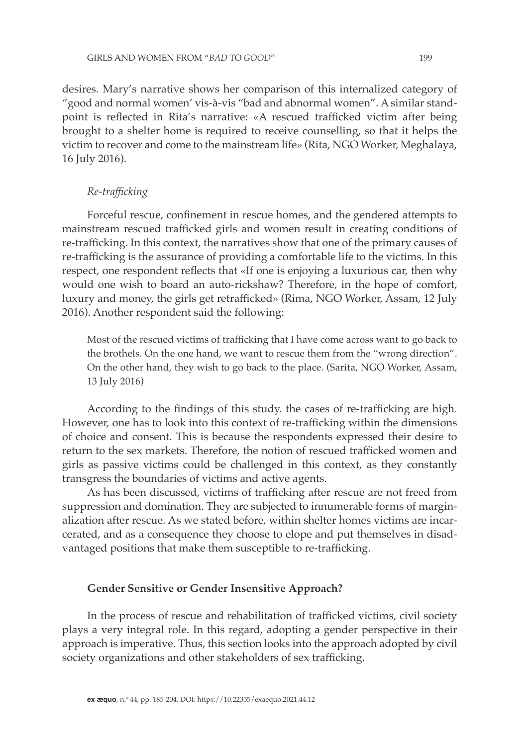desires. Mary's narrative shows her comparison of this internalized category of "good and normal women' vis-à-vis "bad and abnormal women". A similar standpoint is reflected in Rita's narrative: «A rescued trafficked victim after being brought to a shelter home is required to receive counselling, so that it helps the victim to recover and come to the mainstream life» (Rita, NGO Worker, Meghalaya, 16 July 2016).

### *Re-trafficking*

Forceful rescue, confinement in rescue homes, and the gendered attempts to mainstream rescued trafficked girls and women result in creating conditions of re-trafficking. In this context, the narratives show that one of the primary causes of re-trafficking is the assurance of providing a comfortable life to the victims. In this respect, one respondent reflects that «If one is enjoying a luxurious car, then why would one wish to board an auto-rickshaw? Therefore, in the hope of comfort, luxury and money, the girls get retrafficked» (Rima, NGO Worker, Assam, 12 July 2016). Another respondent said the following:

Most of the rescued victims of trafficking that I have come across want to go back to the brothels. On the one hand, we want to rescue them from the "wrong direction". On the other hand, they wish to go back to the place. (Sarita, NGO Worker, Assam, 13 July 2016)

According to the findings of this study. the cases of re-trafficking are high. However, one has to look into this context of re-trafficking within the dimensions of choice and consent. This is because the respondents expressed their desire to return to the sex markets. Therefore, the notion of rescued trafficked women and girls as passive victims could be challenged in this context, as they constantly transgress the boundaries of victims and active agents.

As has been discussed, victims of trafficking after rescue are not freed from suppression and domination. They are subjected to innumerable forms of marginalization after rescue. As we stated before, within shelter homes victims are incarcerated, and as a consequence they choose to elope and put themselves in disadvantaged positions that make them susceptible to re-trafficking.

#### **Gender Sensitive or Gender Insensitive Approach?**

In the process of rescue and rehabilitation of trafficked victims, civil society plays a very integral role. In this regard, adopting a gender perspective in their approach is imperative. Thus, this section looks into the approach adopted by civil society organizations and other stakeholders of sex trafficking.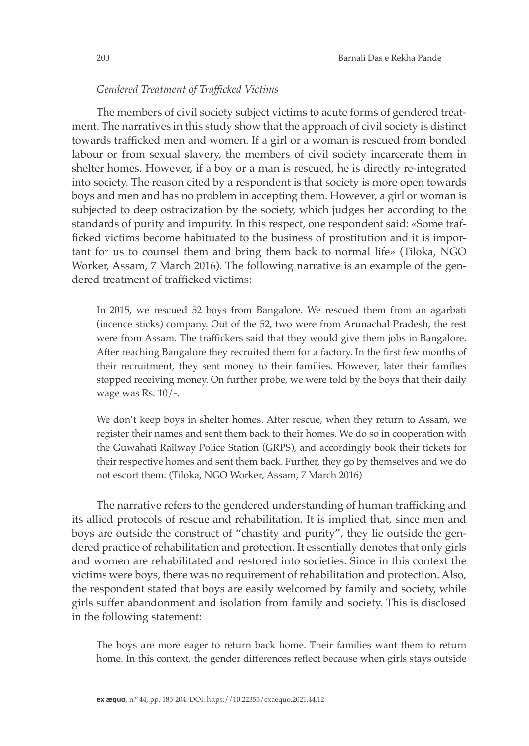### *Gendered Treatment of Trafficked Victims*

The members of civil society subject victims to acute forms of gendered treatment. The narratives in this study show that the approach of civil society is distinct towards trafficked men and women. If a girl or a woman is rescued from bonded labour or from sexual slavery, the members of civil society incarcerate them in shelter homes. However, if a boy or a man is rescued, he is directly re-integrated into society. The reason cited by a respondent is that society is more open towards boys and men and has no problem in accepting them. However, a girl or woman is subjected to deep ostracization by the society, which judges her according to the standards of purity and impurity. In this respect, one respondent said: «Some trafficked victims become habituated to the business of prostitution and it is important for us to counsel them and bring them back to normal life» (Tiloka, NGO Worker, Assam, 7 March 2016). The following narrative is an example of the gendered treatment of trafficked victims:

In 2015, we rescued 52 boys from Bangalore. We rescued them from an agarbati (incence sticks) company. Out of the 52, two were from Arunachal Pradesh, the rest were from Assam. The traffickers said that they would give them jobs in Bangalore. After reaching Bangalore they recruited them for a factory. In the first few months of their recruitment, they sent money to their families. However, later their families stopped receiving money. On further probe, we were told by the boys that their daily wage was Rs. 10/-.

We don't keep boys in shelter homes. After rescue, when they return to Assam, we register their names and sent them back to their homes. We do so in cooperation with the Guwahati Railway Police Station (GRPS), and accordingly book their tickets for their respective homes and sent them back. Further, they go by themselves and we do not escort them. (Tiloka, NGO Worker, Assam, 7 March 2016)

The narrative refers to the gendered understanding of human trafficking and its allied protocols of rescue and rehabilitation. It is implied that, since men and boys are outside the construct of "chastity and purity", they lie outside the gendered practice of rehabilitation and protection. It essentially denotes that only girls and women are rehabilitated and restored into societies. Since in this context the victims were boys, there was no requirement of rehabilitation and protection. Also, the respondent stated that boys are easily welcomed by family and society, while girls suffer abandonment and isolation from family and society. This is disclosed in the following statement:

The boys are more eager to return back home. Their families want them to return home. In this context, the gender differences reflect because when girls stays outside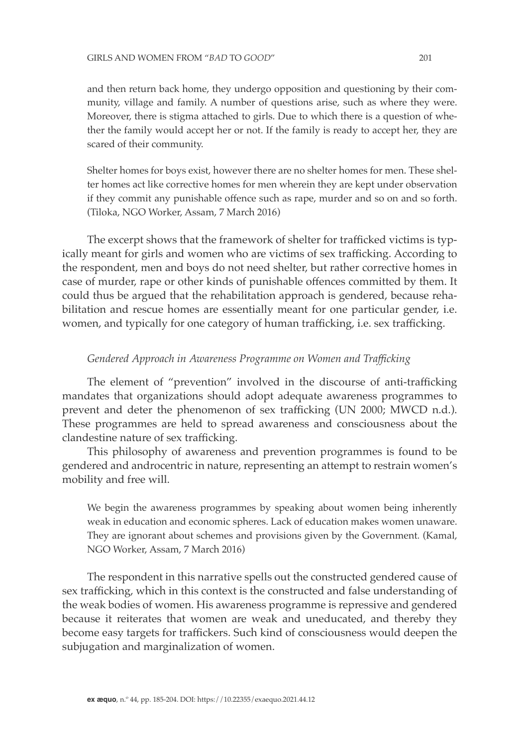and then return back home, they undergo opposition and questioning by their community, village and family. A number of questions arise, such as where they were. Moreover, there is stigma attached to girls. Due to which there is a question of whether the family would accept her or not. If the family is ready to accept her, they are scared of their community.

Shelter homes for boys exist, however there are no shelter homes for men. These shelter homes act like corrective homes for men wherein they are kept under observation if they commit any punishable offence such as rape, murder and so on and so forth. (Tiloka, NGO Worker, Assam, 7 March 2016)

The excerpt shows that the framework of shelter for trafficked victims is typically meant for girls and women who are victims of sex trafficking. According to the respondent, men and boys do not need shelter, but rather corrective homes in case of murder, rape or other kinds of punishable offences committed by them. It could thus be argued that the rehabilitation approach is gendered, because rehabilitation and rescue homes are essentially meant for one particular gender, i.e. women, and typically for one category of human trafficking, i.e. sex trafficking.

### *Gendered Approach in Awareness Programme on Women and Trafficking*

The element of "prevention" involved in the discourse of anti-trafficking mandates that organizations should adopt adequate awareness programmes to prevent and deter the phenomenon of sex trafficking (UN 2000; MWCD n.d.). These programmes are held to spread awareness and consciousness about the clandestine nature of sex trafficking.

This philosophy of awareness and prevention programmes is found to be gendered and androcentric in nature, representing an attempt to restrain women's mobility and free will.

We begin the awareness programmes by speaking about women being inherently weak in education and economic spheres. Lack of education makes women unaware. They are ignorant about schemes and provisions given by the Government*.* (Kamal, NGO Worker, Assam, 7 March 2016)

The respondent in this narrative spells out the constructed gendered cause of sex trafficking, which in this context is the constructed and false understanding of the weak bodies of women. His awareness programme is repressive and gendered because it reiterates that women are weak and uneducated, and thereby they become easy targets for traffickers. Such kind of consciousness would deepen the subjugation and marginalization of women.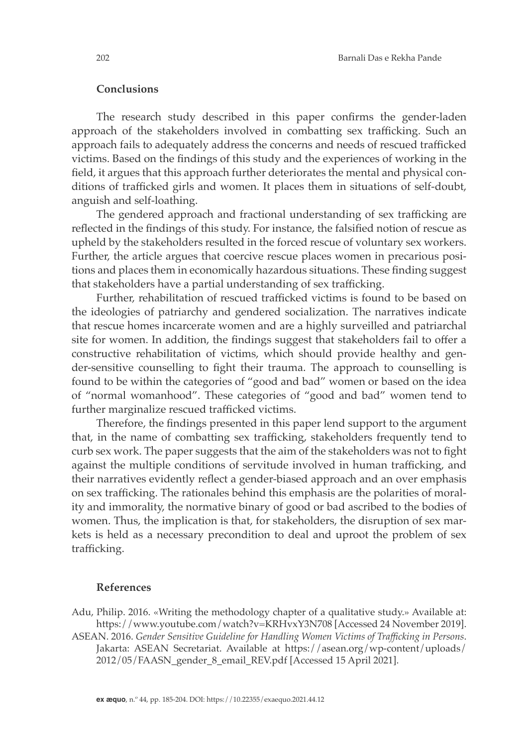### **Conclusions**

The research study described in this paper confirms the gender-laden approach of the stakeholders involved in combatting sex trafficking. Such an approach fails to adequately address the concerns and needs of rescued trafficked victims. Based on the findings of this study and the experiences of working in the field, it argues that this approach further deteriorates the mental and physical conditions of trafficked girls and women. It places them in situations of self-doubt, anguish and self-loathing.

The gendered approach and fractional understanding of sex trafficking are reflected in the findings of this study. For instance, the falsified notion of rescue as upheld by the stakeholders resulted in the forced rescue of voluntary sex workers. Further, the article argues that coercive rescue places women in precarious positions and places them in economically hazardous situations. These finding suggest that stakeholders have a partial understanding of sex trafficking.

Further, rehabilitation of rescued trafficked victims is found to be based on the ideologies of patriarchy and gendered socialization. The narratives indicate that rescue homes incarcerate women and are a highly surveilled and patriarchal site for women. In addition, the findings suggest that stakeholders fail to offer a constructive rehabilitation of victims, which should provide healthy and gender-sensitive counselling to fight their trauma. The approach to counselling is found to be within the categories of "good and bad" women or based on the idea of "normal womanhood". These categories of "good and bad" women tend to further marginalize rescued trafficked victims.

Therefore, the findings presented in this paper lend support to the argument that, in the name of combatting sex trafficking, stakeholders frequently tend to curb sex work. The paper suggests that the aim of the stakeholders was not to fight against the multiple conditions of servitude involved in human trafficking, and their narratives evidently reflect a gender-biased approach and an over emphasis on sex trafficking. The rationales behind this emphasis are the polarities of morality and immorality, the normative binary of good or bad ascribed to the bodies of women. Thus, the implication is that, for stakeholders, the disruption of sex markets is held as a necessary precondition to deal and uproot the problem of sex trafficking.

### **References**

Adu, Philip. 2016. «Writing the methodology chapter of a qualitative study.» Available at: https://www.youtube.com/watch?v=KRHvxY3N708 [Accessed 24 November 2019].

ASEAN. 2016. *Gender Sensitive Guideline for Handling Women Victims of Trafficking in Persons*. Jakarta: ASEAN Secretariat. Available at https://asean.org/wp-content/uploads/ 2012/05/FAASN\_gender\_8\_email\_REV.pdf [Accessed 15 April 2021].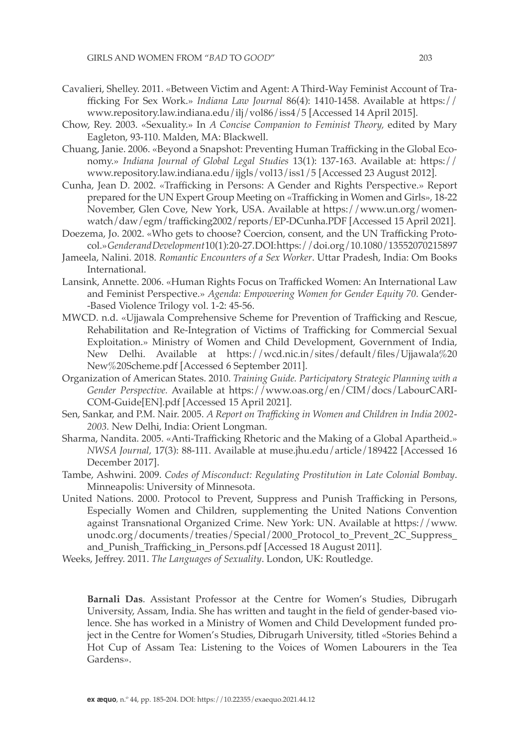- Cavalieri, Shelley. 2011. «Between Victim and Agent: A Third-Way Feminist Account of Trafficking For Sex Work.» *Indiana Law Journal* 86(4): 1410-1458. Available at https:// www.repository.law.indiana.edu/ilj/vol86/iss4/5 [Accessed 14 April 2015].
- Chow, Rey. 2003. «Sexuality.» In *A Concise Companion to Feminist Theory,* edited by Mary Eagleton, 93-110. Malden, MA: Blackwell.
- Chuang, Janie. 2006. «Beyond a Snapshot: Preventing Human Trafficking in the Global Economy.» *Indiana Journal of Global Legal Studies* 13(1): 137-163. Available at: https:// www.repository.law.indiana.edu/ijgls/vol13/iss1/5 [Accessed 23 August 2012].
- Cunha, Jean D. 2002. «Trafficking in Persons: A Gender and Rights Perspective.» Report prepared for the UN Expert Group Meeting on «Trafficking in Women and Girls», 18-22 November, Glen Cove, New York, USA. Available at https://www.un.org/womenwatch/daw/egm/trafficking2002/reports/EP-DCunha.PDF [Accessed 15 April 2021].
- Doezema, Jo. 2002. «Who gets to choose? Coercion, consent, and the UN Trafficking Protocol.» *Gender and Development* 10(1): 20-27. DOI: https://doi.org/10.1080/13552070215897
- Jameela, Nalini. 2018. *Romantic Encounters of a Sex Worker*. Uttar Pradesh, India: Om Books International.
- Lansink, Annette. 2006. «Human Rights Focus on Trafficked Women: An International Law and Feminist Perspective.» *Agenda: Empowering Women for Gender Equity 70.* Gender- -Based Violence Trilogy vol. 1-2: 45-56.
- MWCD. n.d. «Ujjawala Comprehensive Scheme for Prevention of Trafficking and Rescue, Rehabilitation and Re-Integration of Victims of Trafficking for Commercial Sexual Exploitation.» Ministry of Women and Child Development, Government of India, New Delhi. Available at https://wcd.nic.in/sites/default/files/Ujjawala%20 New%20Scheme.pdf [Accessed 6 September 2011].
- Organization of American States. 2010. *Training Guide. Participatory Strategic Planning with a Gender Perspective.* Available at https://www.oas.org/en/CIM/docs/LabourCARI-COM-Guide[EN].pdf [Accessed 15 April 2021].
- Sen, Sankar, and P.M. Nair. 2005. *A Report on Trafficking in Women and Children in India 2002- 2003.* New Delhi, India: Orient Longman.
- Sharma, Nandita. 2005. «Anti-Trafficking Rhetoric and the Making of a Global Apartheid.» *NWSA Journal,* 17(3): 88-111. Available at muse.jhu.edu/article/189422 [Accessed 16 December 2017].
- Tambe, Ashwini. 2009. *Codes of Misconduct: Regulating Prostitution in Late Colonial Bombay*. Minneapolis: University of Minnesota.
- United Nations. 2000. Protocol to Prevent, Suppress and Punish Trafficking in Persons, Especially Women and Children, supplementing the United Nations Convention against Transnational Organized Crime. New York: UN. Available at https://www. unodc.org/documents/treaties/Special/2000\_Protocol\_to\_Prevent\_2C\_Suppress\_ and Punish Trafficking in Persons.pdf [Accessed 18 August 2011].
- Weeks, Jeffrey. 2011. *The Languages of Sexuality*. London, UK: Routledge.

**Barnali Das**. Assistant Professor at the Centre for Women's Studies, Dibrugarh University, Assam, India. She has written and taught in the field of gender-based violence. She has worked in a Ministry of Women and Child Development funded project in the Centre for Women's Studies, Dibrugarh University, titled «Stories Behind a Hot Cup of Assam Tea: Listening to the Voices of Women Labourers in the Tea Gardens».